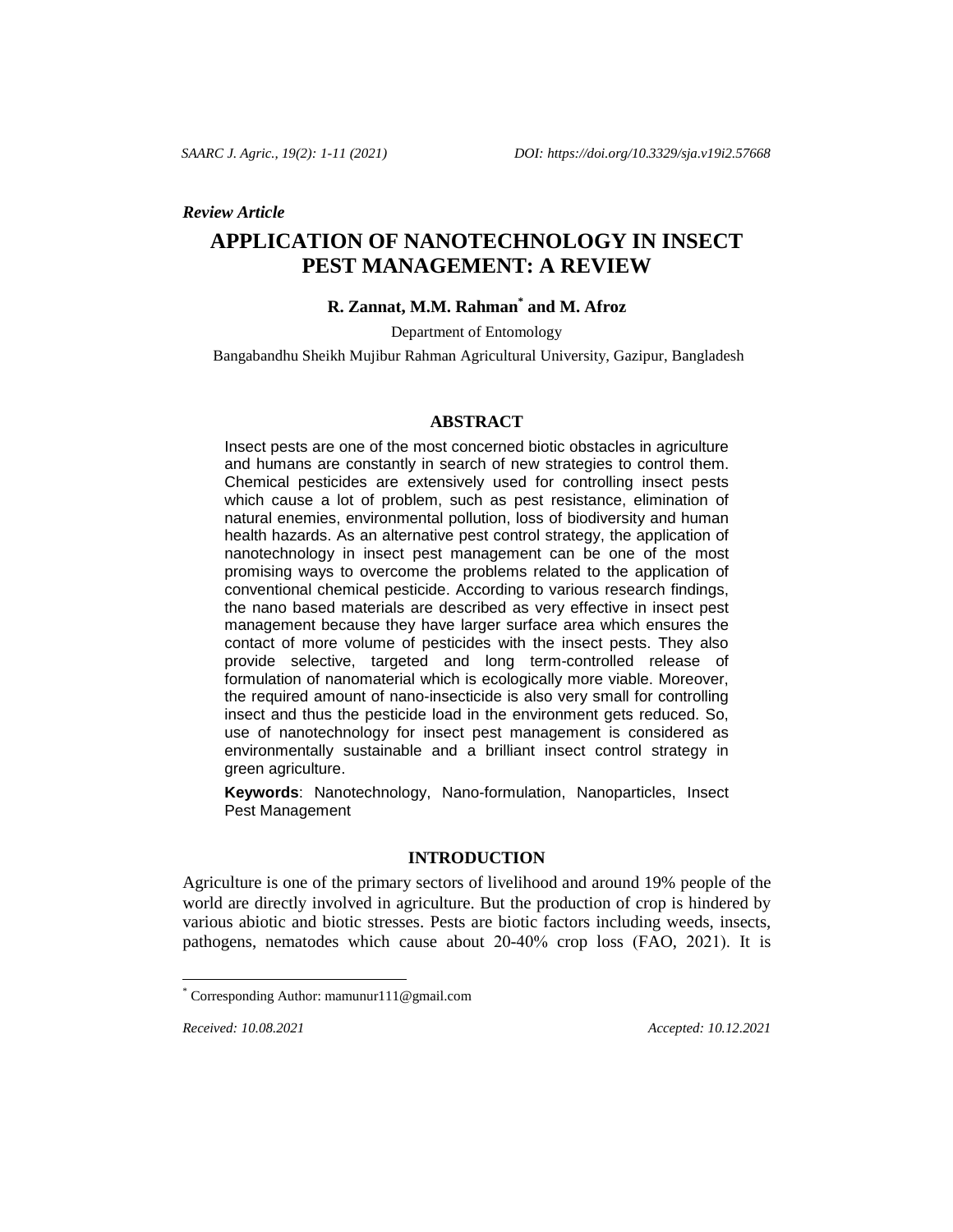#### *Review Article*

# **APPLICATION OF NANOTECHNOLOGY IN INSECT PEST MANAGEMENT: A REVIEW**

# **R. Zannat, M.M. Rahman\* and M. Afroz**

Department of Entomology

Bangabandhu Sheikh Mujibur Rahman Agricultural University, Gazipur, Bangladesh

#### **ABSTRACT**

Insect pests are one of the most concerned biotic obstacles in agriculture and humans are constantly in search of new strategies to control them. Chemical pesticides are extensively used for controlling insect pests which cause a lot of problem, such as pest resistance, elimination of natural enemies, environmental pollution, loss of biodiversity and human health hazards. As an alternative pest control strategy, the application of nanotechnology in insect pest management can be one of the most promising ways to overcome the problems related to the application of conventional chemical pesticide. According to various research findings, the nano based materials are described as very effective in insect pest management because they have larger surface area which ensures the contact of more volume of pesticides with the insect pests. They also provide selective, targeted and long term-controlled release of formulation of nanomaterial which is ecologically more viable. Moreover, the required amount of nano-insecticide is also very small for controlling insect and thus the pesticide load in the environment gets reduced. So, use of nanotechnology for insect pest management is considered as environmentally sustainable and a brilliant insect control strategy in green agriculture.

**Keywords**: Nanotechnology, Nano-formulation, Nanoparticles, Insect Pest Management

### **INTRODUCTION**

Agriculture is one of the primary sectors of livelihood and around 19% people of the world are directly involved in agriculture. But the production of crop is hindered by various abiotic and biotic stresses. Pests are biotic factors including weeds, insects, pathogens, nematodes which cause about 20-40% crop loss (FAO, 2021). It is

l

*Received: 10.08.2021 Accepted: 10.12.2021*

Corresponding Author[: mamunur111@gmail.com](mailto:mamunur111@gmail.com)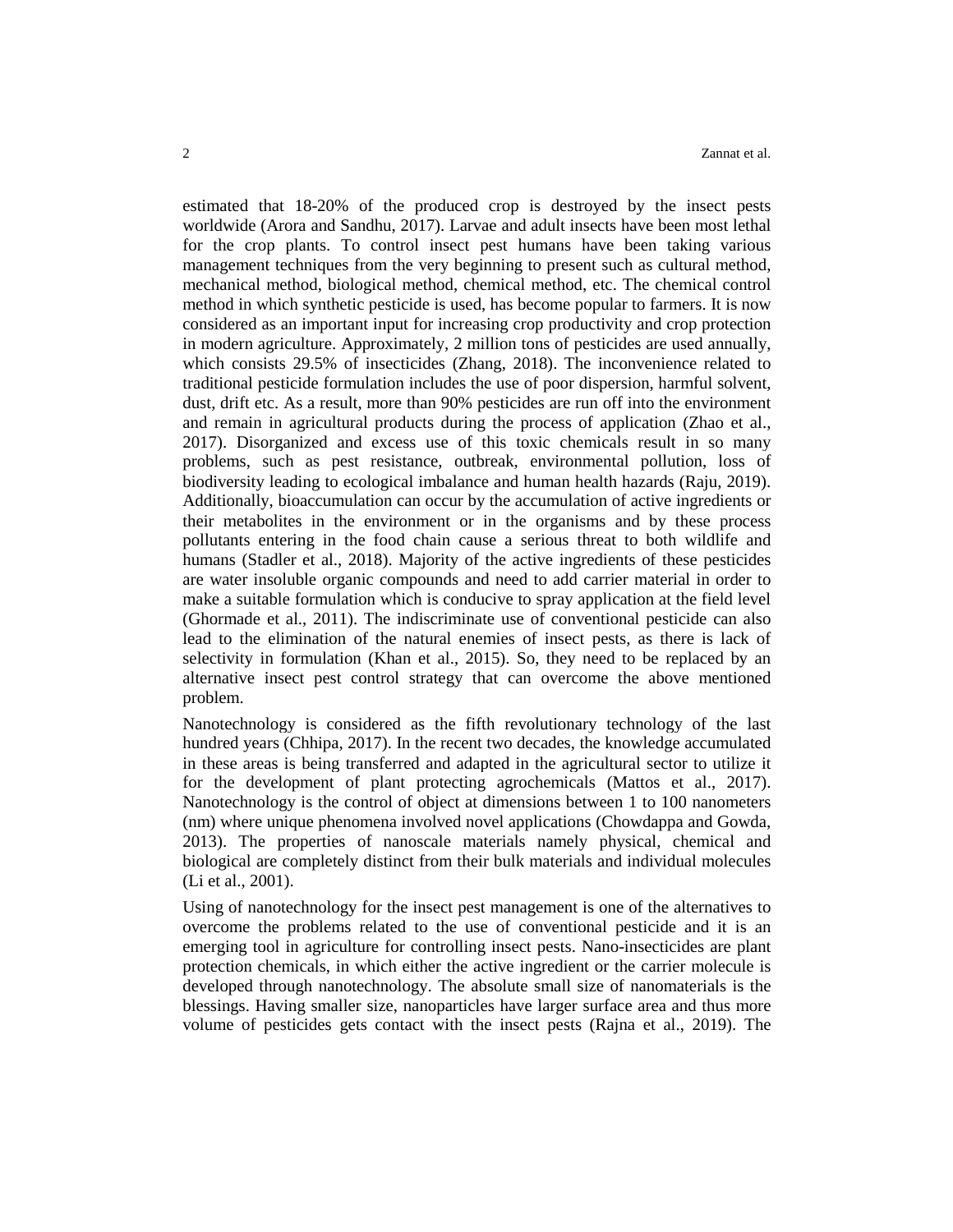estimated that 18-20% of the produced crop is destroyed by the insect pests worldwide (Arora and Sandhu, 2017). Larvae and adult insects have been most lethal for the crop plants. To control insect pest humans have been taking various management techniques from the very beginning to present such as cultural method, mechanical method, biological method, chemical method, etc. The chemical control method in which synthetic pesticide is used, has become popular to farmers. It is now considered as an important input for increasing crop productivity and crop protection in modern agriculture. Approximately, 2 million tons of pesticides are used annually, which consists 29.5% of insecticides (Zhang, 2018). The inconvenience related to traditional pesticide formulation includes the use of poor dispersion, harmful solvent, dust, drift etc. As a result, more than 90% pesticides are run off into the environment and remain in agricultural products during the process of application (Zhao et al., 2017). Disorganized and excess use of this toxic chemicals result in so many problems, such as pest resistance, outbreak, environmental pollution, loss of biodiversity leading to ecological imbalance and human health hazards (Raju, 2019). Additionally, bioaccumulation can occur by the accumulation of active ingredients or their metabolites in the environment or in the organisms and by these process pollutants entering in the food chain cause a serious threat to both wildlife and humans (Stadler et al., 2018). Majority of the active ingredients of these pesticides are water insoluble organic compounds and need to add carrier material in order to make a suitable formulation which is conducive to spray application at the field level (Ghormade et al., 2011). The indiscriminate use of conventional pesticide can also lead to the elimination of the natural enemies of insect pests, as there is lack of selectivity in formulation (Khan et al., 2015). So, they need to be replaced by an alternative insect pest control strategy that can overcome the above mentioned problem.

Nanotechnology is considered as the fifth revolutionary technology of the last hundred years (Chhipa, 2017). In the recent two decades, the knowledge accumulated in these areas is being transferred and adapted in the agricultural sector to utilize it for the development of plant protecting agrochemicals (Mattos et al., 2017). Nanotechnology is the control of object at dimensions between 1 to 100 nanometers (nm) where unique phenomena involved novel applications (Chowdappa and Gowda, 2013). The properties of nanoscale materials namely physical, chemical and biological are completely distinct from their bulk materials and individual molecules (Li et al., 2001).

Using of nanotechnology for the insect pest management is one of the alternatives to overcome the problems related to the use of conventional pesticide and it is an emerging tool in agriculture for controlling insect pests. Nano-insecticides are plant protection chemicals, in which either the active ingredient or the carrier molecule is developed through nanotechnology. The absolute small size of nanomaterials is the blessings. Having smaller size, nanoparticles have larger surface area and thus more volume of pesticides gets contact with the insect pests (Rajna et al., 2019). The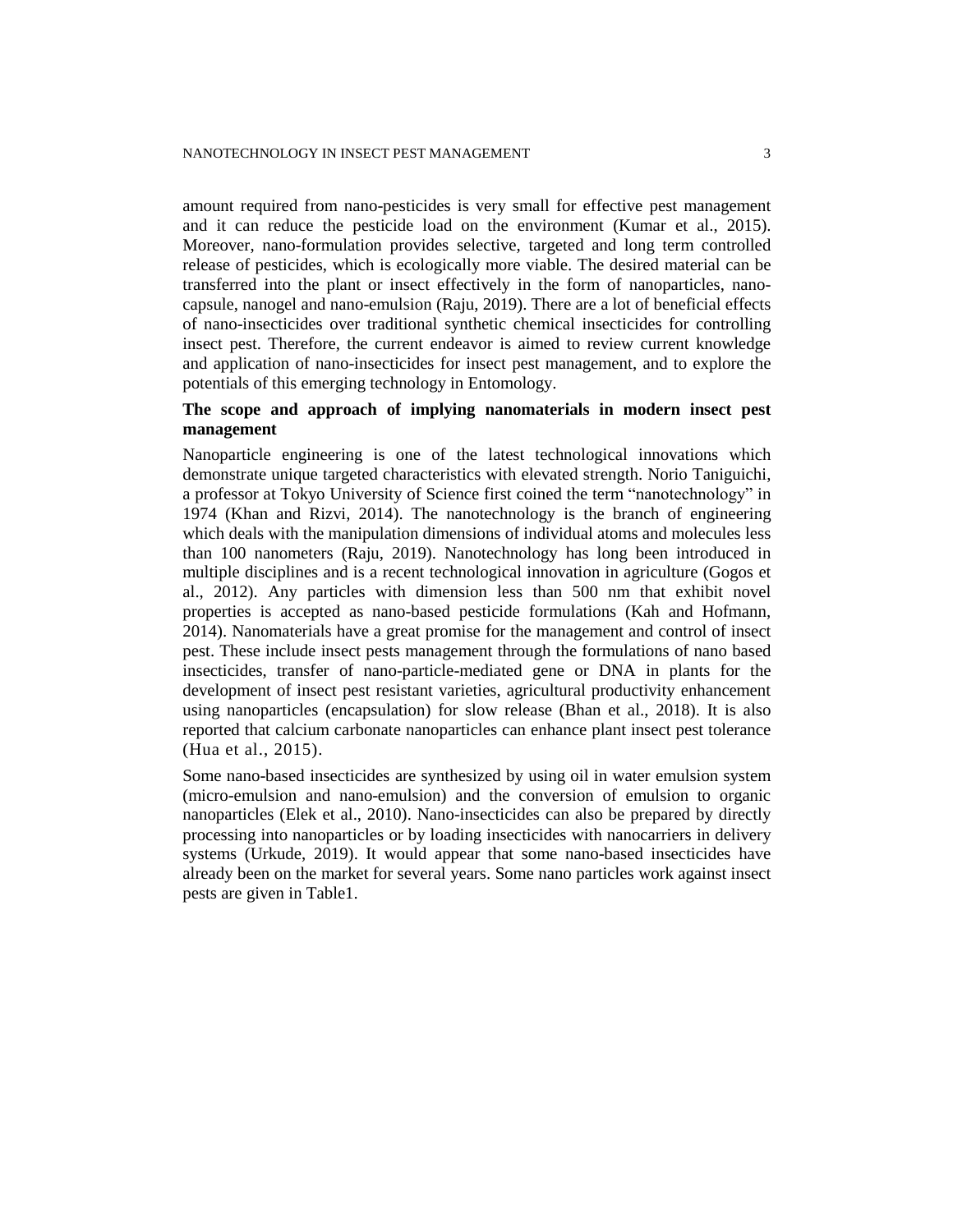amount required from nano-pesticides is very small for effective pest management and it can reduce the pesticide load on the environment (Kumar et al., 2015). Moreover, nano-formulation provides selective, targeted and long term controlled release of pesticides, which is ecologically more viable. The desired material can be transferred into the plant or insect effectively in the form of nanoparticles, nanocapsule, nanogel and nano-emulsion (Raju, 2019). There are a lot of beneficial effects of nano-insecticides over traditional synthetic chemical insecticides for controlling insect pest. Therefore, the current endeavor is aimed to review current knowledge and application of nano-insecticides for insect pest management, and to explore the potentials of this emerging technology in Entomology.

# **The scope and approach of implying nanomaterials in modern insect pest management**

Nanoparticle engineering is one of the latest technological innovations which demonstrate unique targeted characteristics with elevated strength. Norio Taniguichi, a professor at Tokyo University of Science first coined the term "nanotechnology" in 1974 (Khan and Rizvi, 2014). The nanotechnology is the branch of engineering which deals with the manipulation dimensions of individual atoms and molecules less than 100 nanometers (Raju, 2019). Nanotechnology has long been introduced in multiple disciplines and is a recent technological innovation in agriculture (Gogos et al., 2012). Any particles with dimension less than 500 nm that exhibit novel properties is accepted as nano-based pesticide formulations (Kah and Hofmann, 2014). Nanomaterials have a great promise for the management and control of insect pest. These include insect pests management through the formulations of nano based insecticides, transfer of nano-particle-mediated gene or DNA in plants for the development of insect pest resistant varieties, agricultural productivity enhancement using nanoparticles (encapsulation) for slow release (Bhan et al., 2018). It is also reported that calcium carbonate nanoparticles can enhance plant insect pest tolerance (Hua et al., 2015).

Some nano-based insecticides are synthesized by using oil in water emulsion system (micro-emulsion and nano-emulsion) and the conversion of emulsion to organic nanoparticles (Elek et al., 2010). Nano-insecticides can also be prepared by directly processing into nanoparticles or by loading insecticides with nanocarriers in delivery systems (Urkude, 2019). It would appear that some nano-based insecticides have already been on the market for several years. Some nano particles work against insect pests are given in Table1.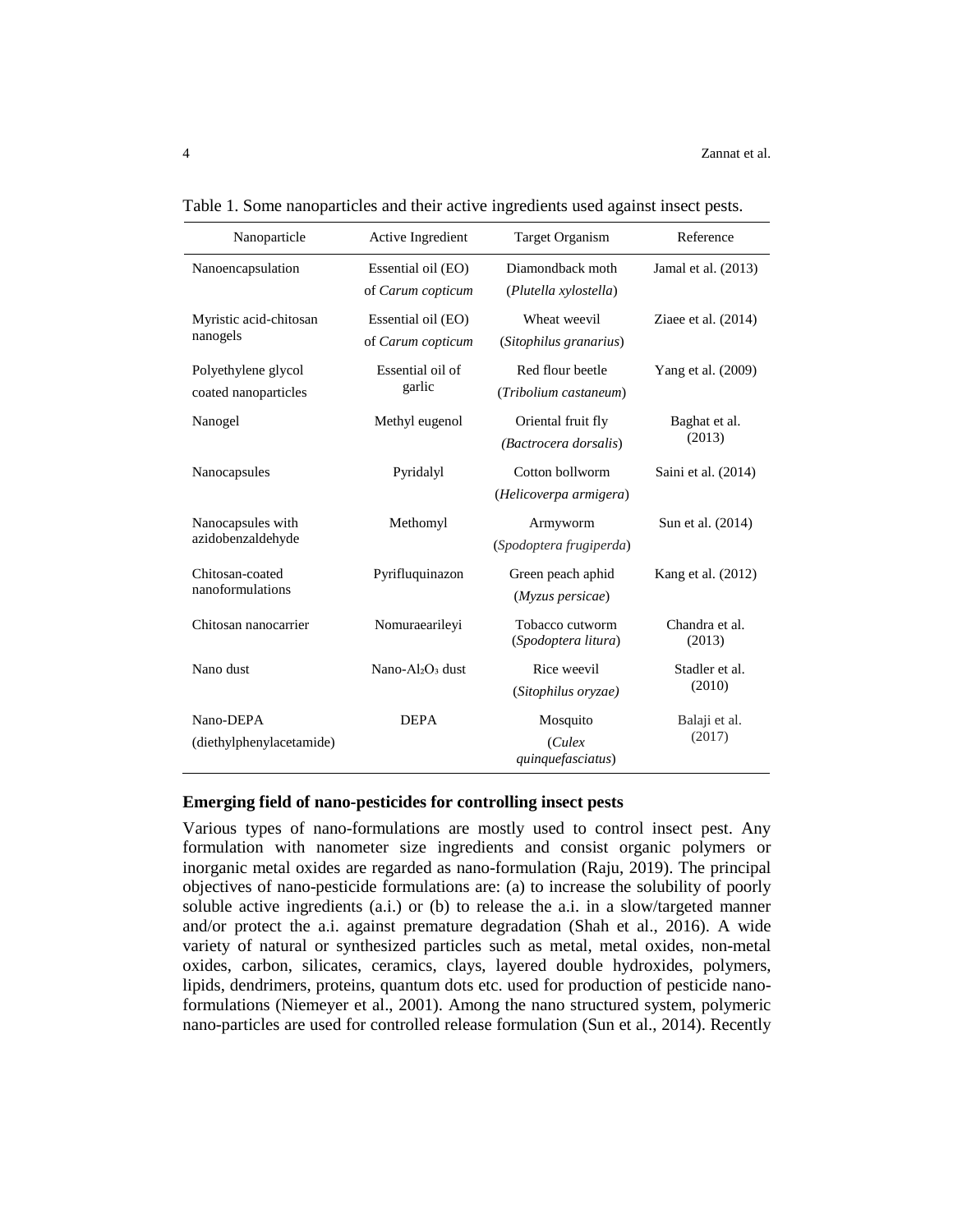| Nanoparticle                                | Active Ingredient                        | <b>Target Organism</b>                      | Reference                |
|---------------------------------------------|------------------------------------------|---------------------------------------------|--------------------------|
| Nanoencapsulation                           | Essential oil (EO)<br>of Carum copticum  | Diamondback moth<br>(Plutella xylostella)   | Jamal et al. (2013)      |
| Myristic acid-chitosan<br>nanogels          | Essential oil (EO)<br>of Carum copticum  | Wheat weevil<br>(Sitophilus granarius)      | Ziaee et al. $(2014)$    |
| Polyethylene glycol<br>coated nanoparticles | Essential oil of<br>garlic               | Red flour beetle<br>(Tribolium castaneum)   | Yang et al. (2009)       |
| Nanogel                                     | Methyl eugenol                           | Oriental fruit fly<br>(Bactrocera dorsalis) | Baghat et al.<br>(2013)  |
| Nanocapsules                                | Pyridalyl                                | Cotton bollworm<br>(Helicoverpa armigera)   | Saini et al. (2014)      |
| Nanocapsules with<br>azidobenzaldehyde      | Methomyl                                 | Armyworm<br>(Spodoptera frugiperda)         | Sun et al. (2014)        |
| Chitosan-coated<br>nanoformulations         | Pyrifluquinazon                          | Green peach aphid<br>(Myzus persicae)       | Kang et al. (2012)       |
| Chitosan nanocarrier                        | Nomuraearileyi                           | Tobacco cutworm<br>(Spodoptera litura)      | Chandra et al.<br>(2013) |
| Nano dust                                   | Nano-Al <sub>2</sub> O <sub>3</sub> dust | Rice weevil<br>(Sitophilus oryzae)          | Stadler et al.<br>(2010) |
| Nano-DEPA<br>(diethylphenylacetamide)       | <b>DEPA</b>                              | Mosquito<br>Culex<br>quinquefasciatus)      | Balaji et al.<br>(2017)  |

Table 1. Some nanoparticles and their active ingredients used against insect pests.

#### **Emerging field of nano-pesticides for controlling insect pests**

Various types of nano-formulations are mostly used to control insect pest. Any formulation with nanometer size ingredients and consist organic polymers or inorganic metal oxides are regarded as nano-formulation (Raju, 2019). The principal objectives of nano-pesticide formulations are: (a) to increase the solubility of poorly soluble active ingredients (a.i.) or (b) to release the a.i. in a slow/targeted manner and/or protect the a.i. against premature degradation (Shah et al., 2016). A wide variety of natural or synthesized particles such as metal, metal oxides, non-metal oxides, carbon, silicates, ceramics, clays, layered double hydroxides, polymers, lipids, dendrimers, proteins, quantum dots etc. used for production of pesticide nanoformulations (Niemeyer et al., 2001). Among the nano structured system, polymeric nano-particles are used for controlled release formulation (Sun et al., 2014). Recently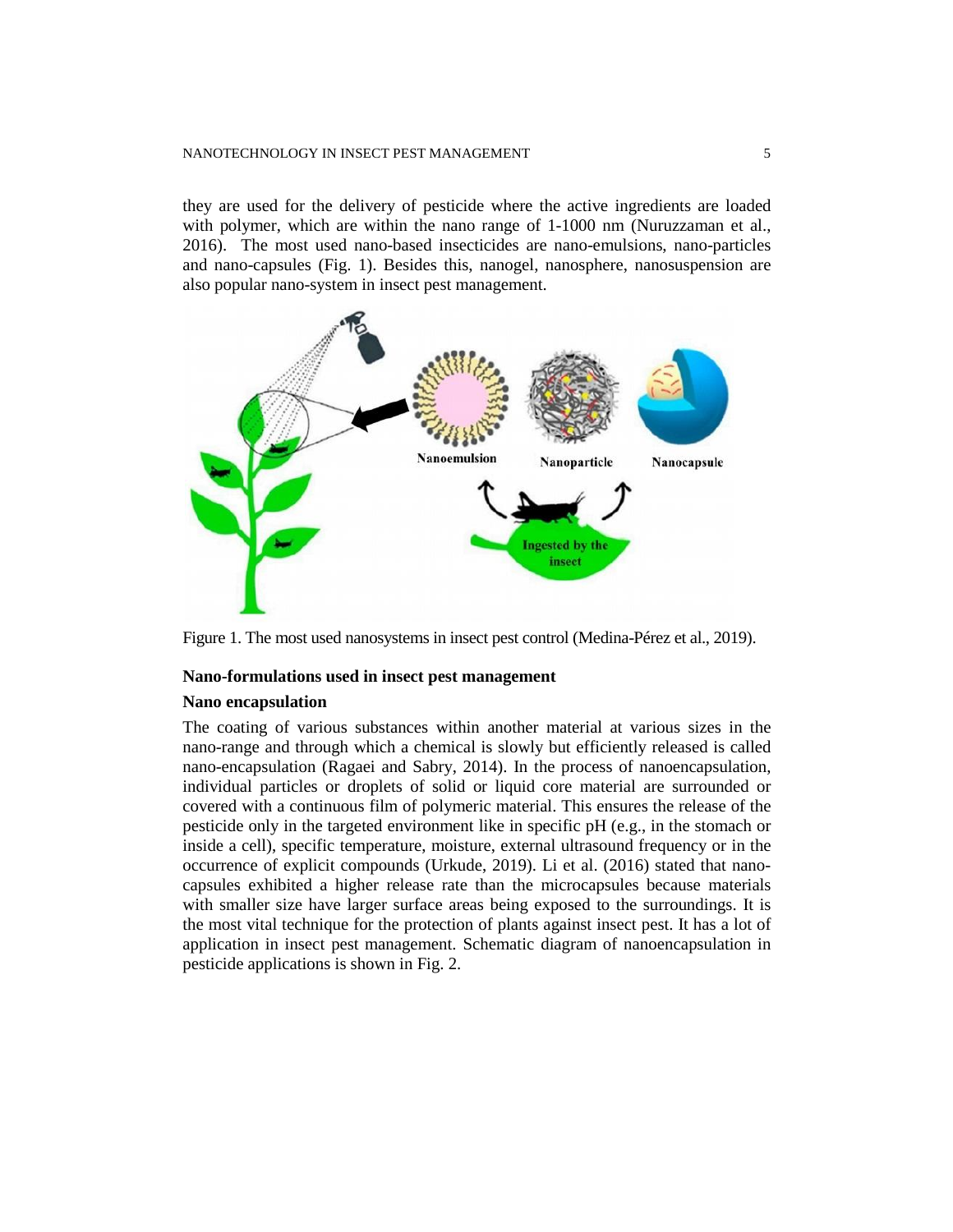they are used for the delivery of pesticide where the active ingredients are loaded with polymer, which are within the nano range of 1-1000 nm (Nuruzzaman et al., 2016). The most used nano-based insecticides are nano-emulsions, nano-particles and nano-capsules (Fig. 1). Besides this, nanogel, nanosphere, nanosuspension are also popular nano-system in insect pest management.



Figure 1. The most used nanosystems in insect pest control (Medina-Pérez et al., 2019).

#### **Nano-formulations used in insect pest management**

#### **Nano encapsulation**

The coating of various substances within another material at various sizes in the nano-range and through which a chemical is slowly but efficiently released is called nano-encapsulation (Ragaei and Sabry, 2014). In the process of nanoencapsulation, individual particles or droplets of solid or liquid core material are surrounded or covered with a continuous film of polymeric material. This ensures the release of the pesticide only in the targeted environment like in specific pH (e.g., in the stomach or inside a cell), specific temperature, moisture, external ultrasound frequency or in the occurrence of explicit compounds (Urkude, 2019). Li et al. (2016) stated that nanocapsules exhibited a higher release rate than the microcapsules because materials with smaller size have larger surface areas being exposed to the surroundings. It is the most vital technique for the protection of plants against insect pest. It has a lot of application in insect pest management. Schematic diagram of nanoencapsulation in pesticide applications is shown in Fig. 2.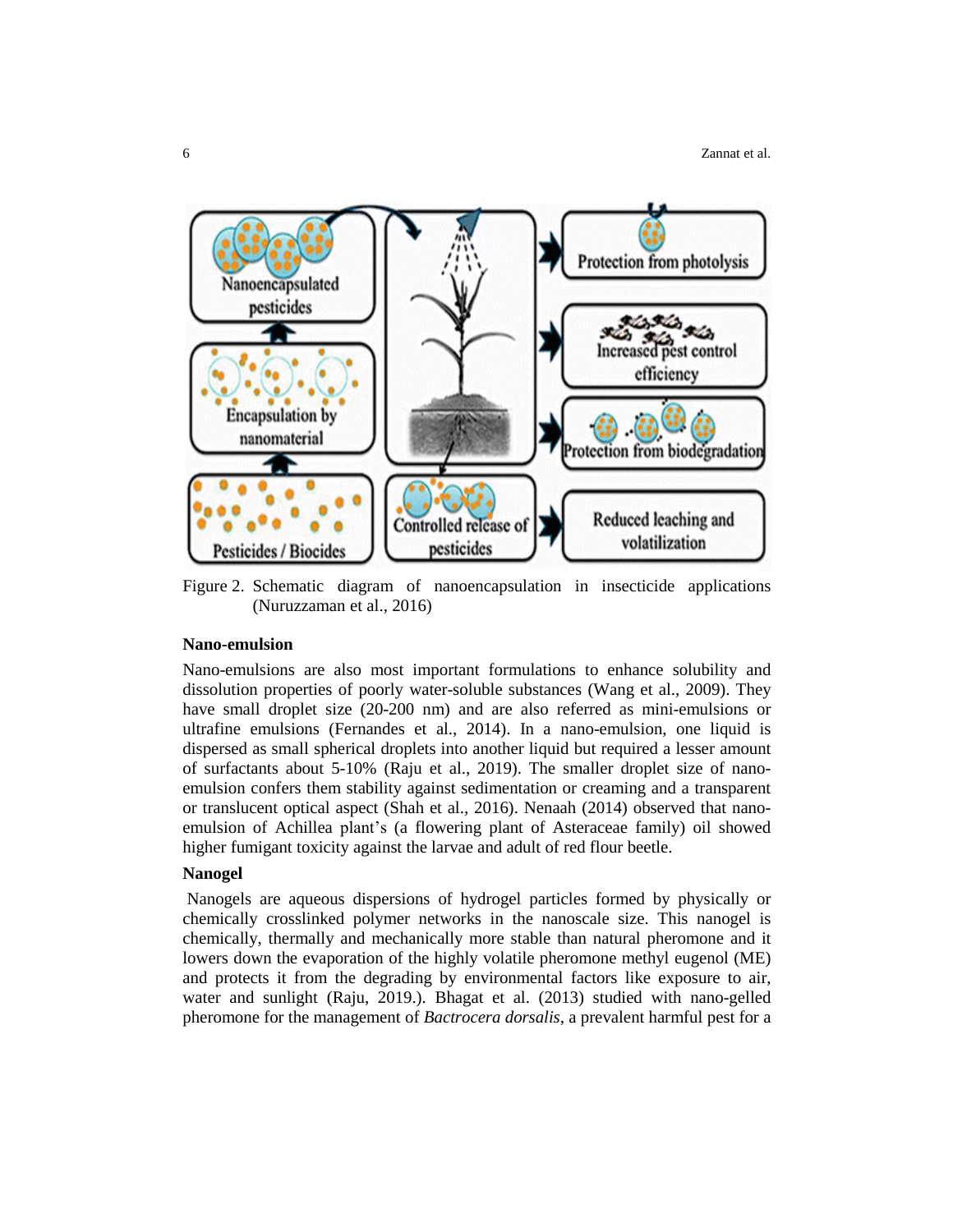

Figure 2. Schematic diagram of nanoencapsulation in insecticide applications (Nuruzzaman et al., 2016)

#### **Nano-emulsion**

Nano-emulsions are also most important formulations to enhance solubility and dissolution properties of poorly water-soluble substances (Wang et al., 2009). They have small droplet size (20-200 nm) and are also referred as mini-emulsions or ultrafine emulsions (Fernandes et al., 2014). In a nano-emulsion, one liquid is dispersed as small spherical droplets into another liquid but required a lesser amount of surfactants about 5-10% (Raju et al., 2019). The smaller droplet size of nanoemulsion confers them stability against sedimentation or creaming and a transparent or translucent optical aspect (Shah et al., 2016). Nenaah (2014) observed that nanoemulsion of Achillea plant's (a flowering plant of Asteraceae family) oil showed higher fumigant toxicity against the larvae and adult of red flour beetle.

### **Nanogel**

Nanogels are aqueous dispersions of hydrogel particles formed by physically or chemically crosslinked polymer networks in the nanoscale size. This nanogel is chemically, thermally and mechanically more stable than natural pheromone and it lowers down the evaporation of the highly volatile pheromone methyl eugenol (ME) and protects it from the degrading by environmental factors like exposure to air, water and sunlight (Raju, 2019.). Bhagat et al. (2013) studied with nano-gelled pheromone for the management of *Bactrocera dorsalis*, a prevalent harmful pest for a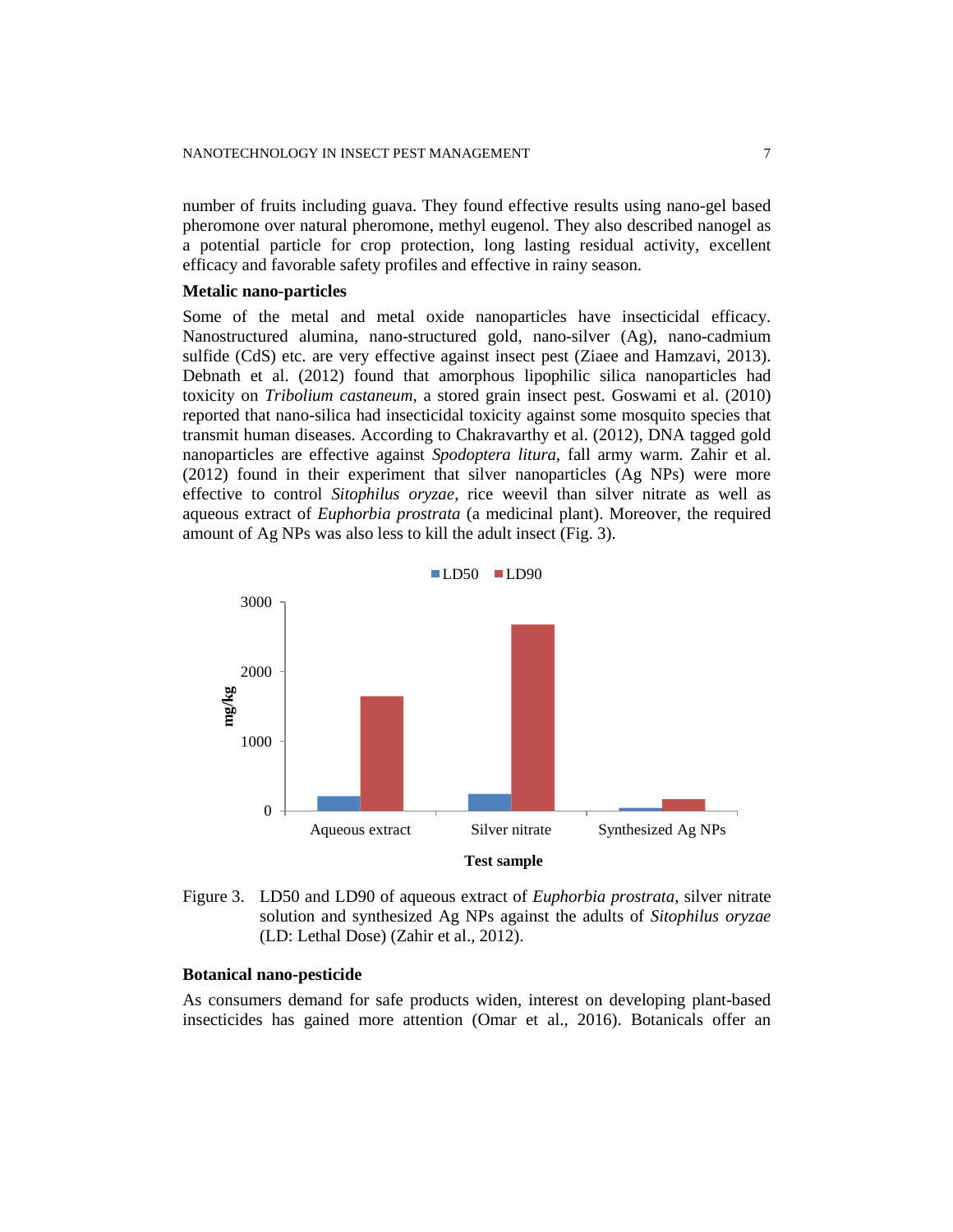number of fruits including guava. They found effective results using nano-gel based pheromone over natural pheromone, methyl eugenol. They also described nanogel as a potential particle for crop protection, long lasting residual activity, excellent efficacy and favorable safety profiles and effective in rainy season.

#### **Metalic nano-particles**

Some of the metal and metal oxide nanoparticles have insecticidal efficacy. Nanostructured alumina, nano-structured gold, nano-silver (Ag), nano-cadmium sulfide (CdS) etc. are very effective against insect pest (Ziaee and Hamzavi, 2013). Debnath et al. (2012) found that amorphous lipophilic silica nanoparticles had toxicity on *Tribolium castaneum*, a stored grain insect pest. Goswami et al. (2010) reported that nano-silica had insecticidal toxicity against some mosquito species that transmit human diseases. According to Chakravarthy et al. (2012), DNA tagged gold nanoparticles are effective against *Spodoptera litura,* fall army warm. Zahir et al. (2012) found in their experiment that silver nanoparticles (Ag NPs) were more effective to control *Sitophilus oryzae,* rice weevil than silver nitrate as well as aqueous extract of *Euphorbia prostrata* (a medicinal plant). Moreover, the required amount of Ag NPs was also less to kill the adult insect (Fig. 3).



Figure 3. LD50 and LD90 of aqueous extract of *Euphorbia prostrata*, silver nitrate solution and synthesized Ag NPs against the adults of *Sitophilus oryzae* (LD: Lethal Dose) (Zahir et al., 2012).

#### **Botanical nano-pesticide**

As consumers demand for safe products widen, interest on developing plant-based insecticides has gained more attention (Omar et al., 2016). Botanicals offer an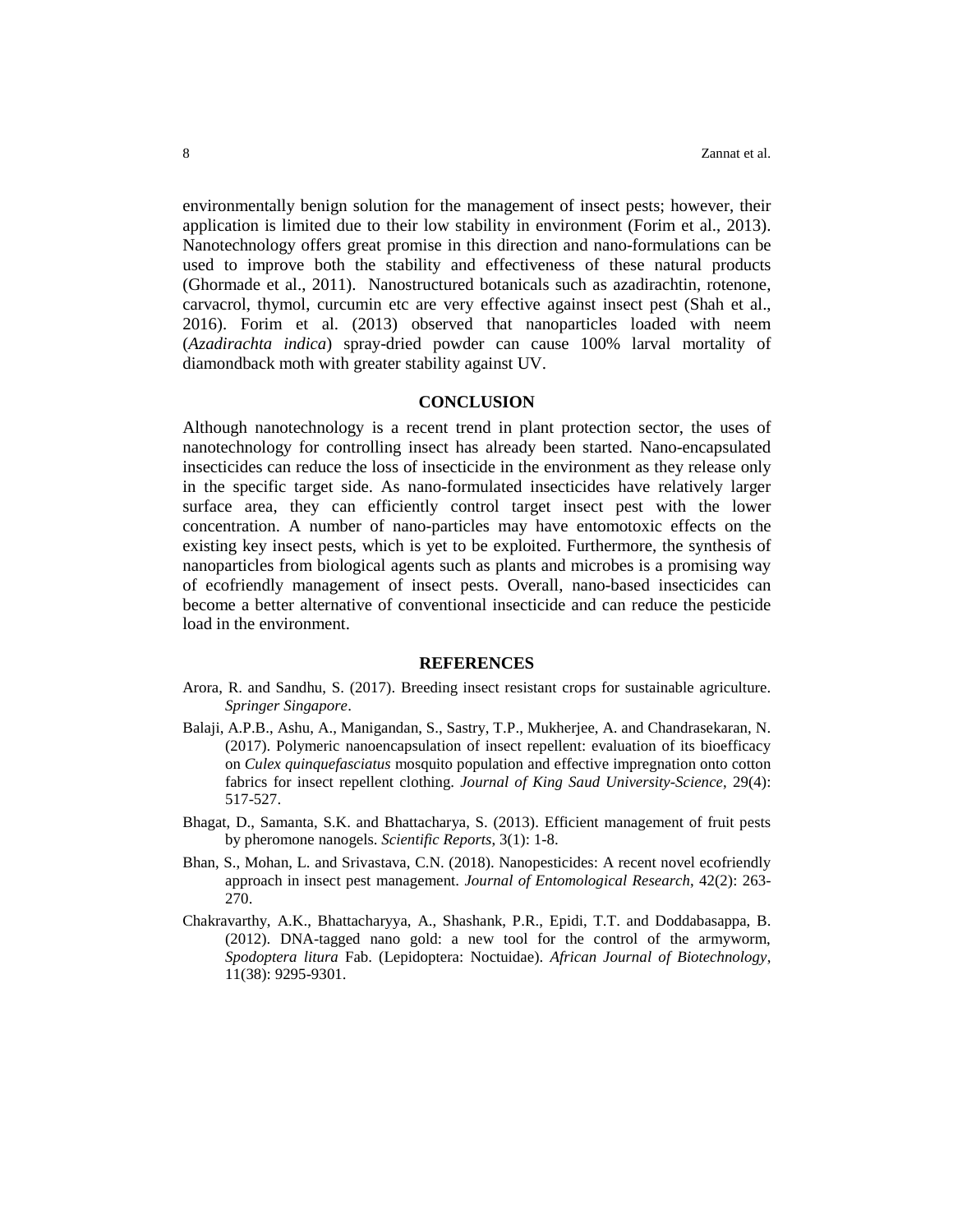environmentally benign solution for the management of insect pests; however, their application is limited due to their low stability in environment (Forim et al., 2013). Nanotechnology offers great promise in this direction and nano-formulations can be used to improve both the stability and effectiveness of these natural products (Ghormade et al., 2011). Nanostructured botanicals such as azadirachtin, rotenone, carvacrol, thymol, curcumin etc are very effective against insect pest (Shah et al., 2016). Forim et al. (2013) observed that nanoparticles loaded with neem (*Azadirachta indica*) spray-dried powder can cause 100% larval mortality of diamondback moth with greater stability against UV.

#### **CONCLUSION**

Although nanotechnology is a recent trend in plant protection sector, the uses of nanotechnology for controlling insect has already been started. Nano-encapsulated insecticides can reduce the loss of insecticide in the environment as they release only in the specific target side. As nano-formulated insecticides have relatively larger surface area, they can efficiently control target insect pest with the lower concentration. A number of nano-particles may have entomotoxic effects on the existing key insect pests, which is yet to be exploited. Furthermore, the synthesis of nanoparticles from biological agents such as plants and microbes is a promising way of ecofriendly management of insect pests. Overall, nano-based insecticides can become a better alternative of conventional insecticide and can reduce the pesticide load in the environment.

#### **REFERENCES**

- Arora, R. and Sandhu, S. (2017). Breeding insect resistant crops for sustainable agriculture. *Springer Singapore*.
- Balaji, A.P.B., Ashu, A., Manigandan, S., Sastry, T.P., Mukherjee, A. and Chandrasekaran, N. (2017). Polymeric nanoencapsulation of insect repellent: evaluation of its bioefficacy on *Culex quinquefasciatus* mosquito population and effective impregnation onto cotton fabrics for insect repellent clothing. *Journal of King Saud University-Science*, 29(4): 517-527.
- Bhagat, D., Samanta, S.K. and Bhattacharya, S. (2013). Efficient management of fruit pests by pheromone nanogels. *Scientific Reports*, 3(1): 1-8.
- Bhan, S., Mohan, L. and Srivastava, C.N. (2018). Nanopesticides: A recent novel ecofriendly approach in insect pest management. *Journal of Entomological Research*, 42(2): 263- 270.
- Chakravarthy, A.K., Bhattacharyya, A., Shashank, P.R., Epidi, T.T. and Doddabasappa, B. (2012). DNA-tagged nano gold: a new tool for the control of the armyworm, *Spodoptera litura* Fab. (Lepidoptera: Noctuidae). *African Journal of Biotechnology*, 11(38): 9295-9301.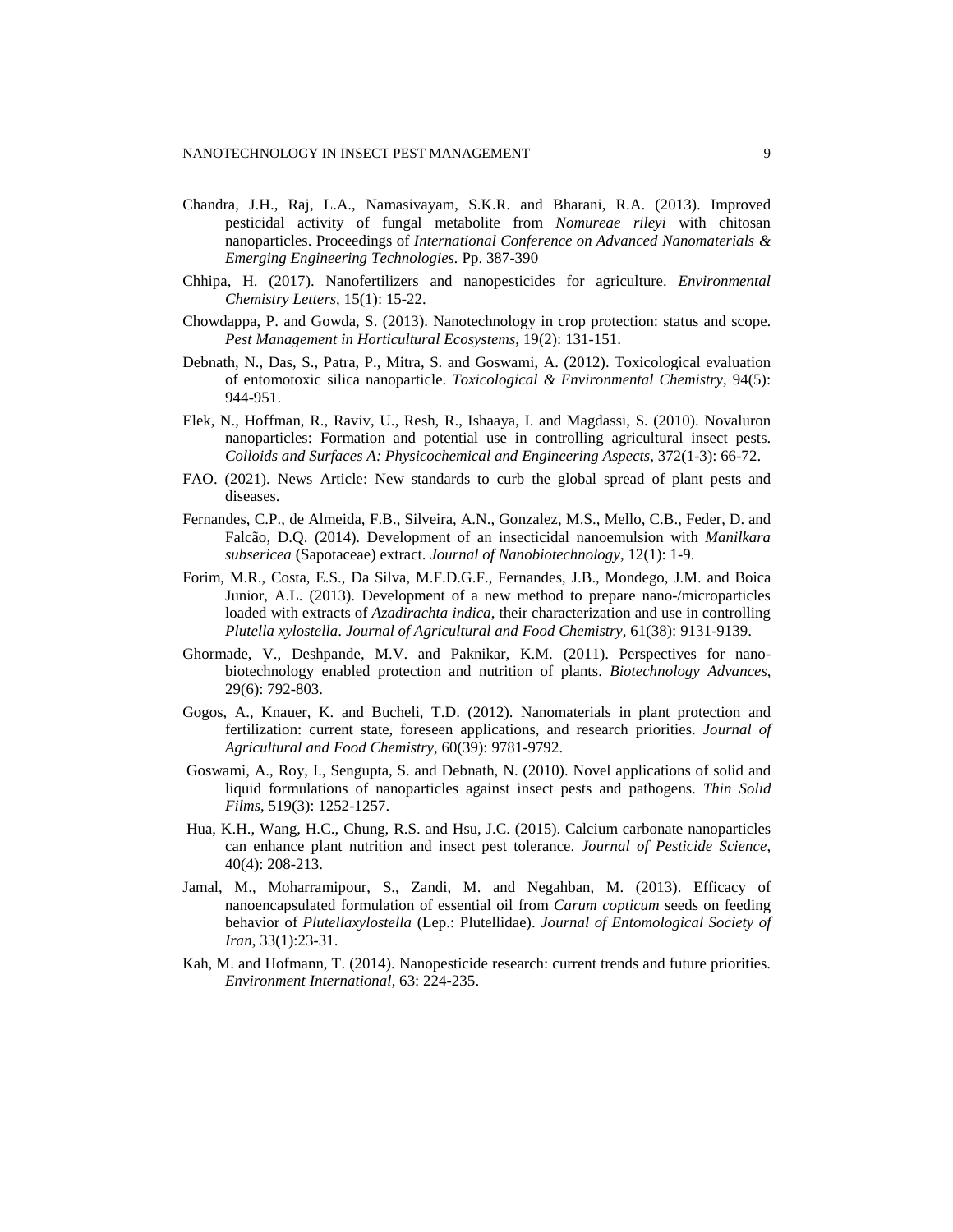- Chandra, J.H., Raj, L.A., Namasivayam, S.K.R. and Bharani, R.A. (2013). Improved pesticidal activity of fungal metabolite from *Nomureae rileyi* with chitosan nanoparticles. Proceedings of *International Conference on Advanced Nanomaterials & Emerging Engineering Technologies.* Pp. 387-390
- Chhipa, H. (2017). Nanofertilizers and nanopesticides for agriculture. *Environmental Chemistry Letters*, 15(1): 15-22.
- Chowdappa, P. and Gowda, S. (2013). Nanotechnology in crop protection: status and scope. *Pest Management in Horticultural Ecosystems*, 19(2): 131-151.
- Debnath, N., Das, S., Patra, P., Mitra, S. and Goswami, A. (2012). Toxicological evaluation of entomotoxic silica nanoparticle. *Toxicological & Environmental Chemistry*, 94(5): 944-951.
- Elek, N., Hoffman, R., Raviv, U., Resh, R., Ishaaya, I. and Magdassi, S. (2010). Novaluron nanoparticles: Formation and potential use in controlling agricultural insect pests. *Colloids and Surfaces A: Physicochemical and Engineering Aspects*, 372(1-3): 66-72.
- FAO. (2021). News Article: New standards to curb the global spread of plant pests and diseases.
- Fernandes, C.P., de Almeida, F.B., Silveira, A.N., Gonzalez, M.S., Mello, C.B., Feder, D. and Falcão, D.Q. (2014). Development of an insecticidal nanoemulsion with *Manilkara subsericea* (Sapotaceae) extract. *Journal of Nanobiotechnology*, 12(1): 1-9.
- Forim, M.R., Costa, E.S., Da Silva, M.F.D.G.F., Fernandes, J.B., Mondego, J.M. and Boica Junior, A.L. (2013). Development of a new method to prepare nano-/microparticles loaded with extracts of *Azadirachta indica*, their characterization and use in controlling *Plutella xylostella*. *Journal of Agricultural and Food Chemistry*, 61(38): 9131-9139.
- Ghormade, V., Deshpande, M.V. and Paknikar, K.M. (2011). Perspectives for nanobiotechnology enabled protection and nutrition of plants. *Biotechnology Advances*, 29(6): 792-803.
- Gogos, A., Knauer, K. and Bucheli, T.D. (2012). Nanomaterials in plant protection and fertilization: current state, foreseen applications, and research priorities. *Journal of Agricultural and Food Chemistry*, 60(39): 9781-9792.
- Goswami, A., Roy, I., Sengupta, S. and Debnath, N. (2010). Novel applications of solid and liquid formulations of nanoparticles against insect pests and pathogens. *Thin Solid Films*, 519(3): 1252-1257.
- Hua, K.H., Wang, H.C., Chung, R.S. and Hsu, J.C. (2015). Calcium carbonate nanoparticles can enhance plant nutrition and insect pest tolerance. *Journal of Pesticide Science*, 40(4): 208-213.
- Jamal, M., Moharramipour, S., Zandi, M. and Negahban, M. (2013). Efficacy of nanoencapsulated formulation of essential oil from *Carum copticum* seeds on feeding behavior of *Plutellaxylostella* (Lep.: Plutellidae). *Journal of Entomological Society of Iran*, 33(1):23-31.
- Kah, M. and Hofmann, T. (2014). Nanopesticide research: current trends and future priorities. *Environment International*, 63: 224-235.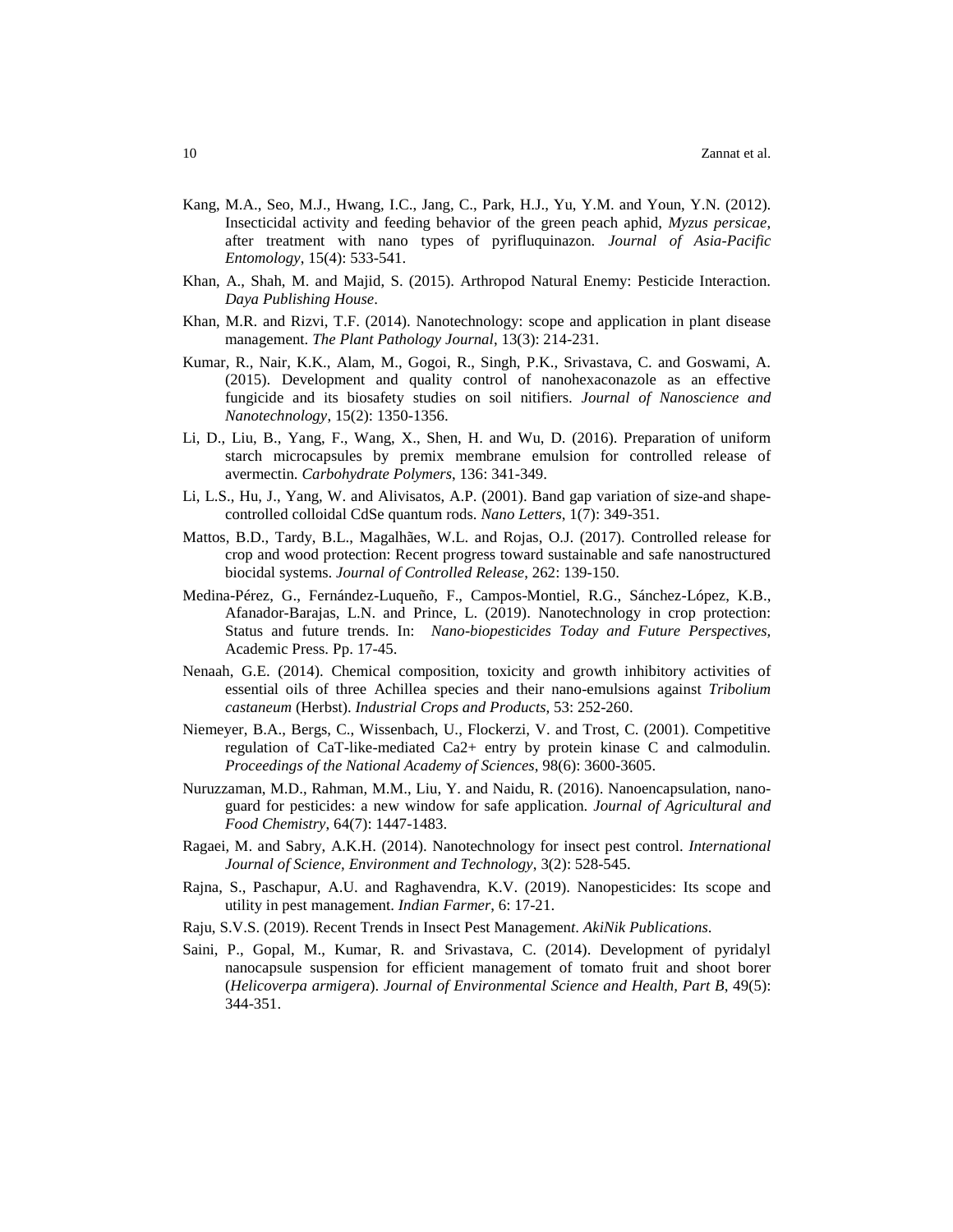- Kang, M.A., Seo, M.J., Hwang, I.C., Jang, C., Park, H.J., Yu, Y.M. and Youn, Y.N. (2012). Insecticidal activity and feeding behavior of the green peach aphid, *Myzus persicae*, after treatment with nano types of pyrifluquinazon. *Journal of Asia-Pacific Entomology*, 15(4): 533-541.
- Khan, A., Shah, M. and Majid, S. (2015). Arthropod Natural Enemy: Pesticide Interaction. *Daya Publishing House*.
- Khan, M.R. and Rizvi, T.F. (2014). Nanotechnology: scope and application in plant disease management. *The Plant Pathology Journal*, 13(3): 214-231.
- Kumar, R., Nair, K.K., Alam, M., Gogoi, R., Singh, P.K., Srivastava, C. and Goswami, A. (2015). Development and quality control of nanohexaconazole as an effective fungicide and its biosafety studies on soil nitifiers. *Journal of Nanoscience and Nanotechnology*, 15(2): 1350-1356.
- Li, D., Liu, B., Yang, F., Wang, X., Shen, H. and Wu, D. (2016). Preparation of uniform starch microcapsules by premix membrane emulsion for controlled release of avermectin. *Carbohydrate Polymers*, 136: 341-349.
- Li, L.S., Hu, J., Yang, W. and Alivisatos, A.P. (2001). Band gap variation of size-and shapecontrolled colloidal CdSe quantum rods. *Nano Letters*, 1(7): 349-351.
- Mattos, B.D., Tardy, B.L., Magalhães, W.L. and Rojas, O.J. (2017). Controlled release for crop and wood protection: Recent progress toward sustainable and safe nanostructured biocidal systems. *Journal of Controlled Release*, 262: 139-150.
- Medina-Pérez, G., Fernández-Luqueño, F., Campos-Montiel, R.G., Sánchez-López, K.B., Afanador-Barajas, L.N. and Prince, L. (2019). Nanotechnology in crop protection: Status and future trends. In: *Nano-biopesticides Today and Future Perspectives,* Academic Press. Pp. 17-45.
- Nenaah, G.E. (2014). Chemical composition, toxicity and growth inhibitory activities of essential oils of three Achillea species and their nano-emulsions against *Tribolium castaneum* (Herbst). *Industrial Crops and Products*, 53: 252-260.
- Niemeyer, B.A., Bergs, C., Wissenbach, U., Flockerzi, V. and Trost, C. (2001). Competitive regulation of CaT-like-mediated Ca2+ entry by protein kinase C and calmodulin. *Proceedings of the National Academy of Sciences*, 98(6): 3600-3605.
- Nuruzzaman, M.D., Rahman, M.M., Liu, Y. and Naidu, R. (2016). Nanoencapsulation, nanoguard for pesticides: a new window for safe application. *Journal of Agricultural and Food Chemistry*, 64(7): 1447-1483.
- Ragaei, M. and Sabry, A.K.H. (2014). Nanotechnology for insect pest control. *International Journal of Science, Environment and Technology*, 3(2): 528-545.
- Rajna, S., Paschapur, A.U. and Raghavendra, K.V. (2019). Nanopesticides: Its scope and utility in pest management. *Indian Farmer*, 6: 17-21.
- Raju, S.V.S. (2019). Recent Trends in Insect Pest Managemen*t*. *AkiNik Publications*.
- Saini, P., Gopal, M., Kumar, R. and Srivastava, C. (2014). Development of pyridalyl nanocapsule suspension for efficient management of tomato fruit and shoot borer (*Helicoverpa armigera*). *Journal of Environmental Science and Health, Part B*, 49(5): 344-351.